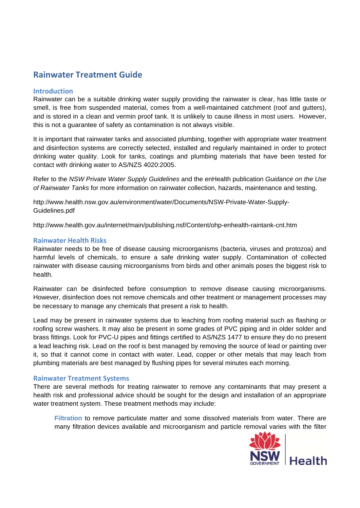# **Rainwater Treatment Guide**

### **Introduction**

Rainwater can be a suitable drinking water supply providing the rainwater is clear, has little taste or smell, is free from suspended material, comes from a well-maintained catchment (roof and gutters), and is stored in a clean and vermin proof tank. It is unlikely to cause illness in most users. However, this is not a guarantee of safety as contamination is not always visible.

It is important that rainwater tanks and associated plumbing, together with appropriate water treatment and disinfection systems are correctly selected, installed and regularly maintained in order to protect drinking water quality. Look for tanks, coatings and plumbing materials that have been tested for contact with drinking water to AS/NZS 4020:2005.

Refer to the *NSW Private Water Supply Guidelines* and the enHealth publication *Guidance on the Use of Rainwater Tanks* for more information on rainwater collection, hazards, maintenance and testing.

http://www.health.nsw.gov.au/environment/water/Documents/NSW-Private-Water-Supply-Guidelines.pdf

http://www.health.gov.au/internet/main/publishing.nsf/Content/ohp-enhealth-raintank-cnt.htm

#### **Rainwater Health Risks**

Rainwater needs to be free of disease causing microorganisms (bacteria, viruses and protozoa) and harmful levels of chemicals, to ensure a safe drinking water supply. Contamination of collected rainwater with disease causing microorganisms from birds and other animals poses the biggest risk to health.

Rainwater can be disinfected before consumption to remove disease causing microorganisms. However, disinfection does not remove chemicals and other treatment or management processes may be necessary to manage any chemicals that present a risk to health.

Lead may be present in rainwater systems due to leaching from roofing material such as flashing or roofing screw washers. It may also be present in some grades of PVC piping and in older solder and brass fittings. Look for PVC-U pipes and fittings certified to AS/NZS 1477 to ensure they do no present a lead leaching risk. Lead on the roof is best managed by removing the source of lead or painting over it, so that it cannot come in contact with water. Lead, copper or other metals that may leach from plumbing materials are best managed by flushing pipes for several minutes each morning.

#### **Rainwater Treatment Systems**

There are several methods for treating rainwater to remove any contaminants that may present a health risk and professional advice should be sought for the design and installation of an appropriate water treatment system. These treatment methods may include:

**Filtration** to remove particulate matter and some dissolved materials from water. There are many filtration devices available and microorganism and particle removal varies with the filter

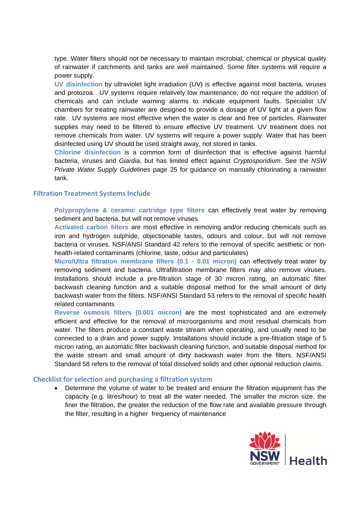type. Water filters should not be necessary to maintain microbial, chemical or physical quality of rainwater if catchments and tanks are well maintained. Some filter systems will require a power supply.

**UV disinfection** by ultraviolet light irradiation (UV) is effective against most bacteria, viruses and protozoa. UV systems require relatively low maintenance, do not require the addition of chemicals and can include warning alarms to indicate equipment faults. Specialist UV chambers for treating rainwater are designed to provide a dosage of UV light at a given flow rate. UV systems are most effective when the water is clear and free of particles. Rainwater supplies may need to be filtered to ensure effective UV treatment. UV treatment does not remove chemicals from water. UV systems will require a power supply. Water that has been disinfected using UV should be used straight away, not stored in tanks.

**Chlorine disinfection** is a common form of disinfection that is effective against harmful bacteria, viruses and *Giardia*, but has limited effect against *Cryptosporidium*. See the *NSW Private Water Supply Guidelines* page 25 for guidance on manually chlorinating a rainwater tank.

#### **Filtration Treatment Systems Include**

**Polypropylene & ceramic cartridge type filters** can effectively treat water by removing sediment and bacteria, but will not remove viruses

**Activated carbon filters** are most effective in removing and/or reducing chemicals such as iron and hydrogen sulphide, objectionable tastes, odours and colour, but will not remove bacteria or viruses. NSF/ANSI Standard 42 refers to the removal of specific aesthetic or nonhealth-related contaminants (chlorine, taste, odour and particulates)

**Micro/Ultra filtration membrane filters (0.1 - 0.01 micron)** can effectively treat water by removing sediment and bacteria. Ultrafiltration membrane filters may also remove viruses. Installations should include a pre-filtration stage of 30 micron rating, an automatic filter backwash cleaning function and a suitable disposal method for the small amount of dirty backwash water from the filters. NSF/ANSI Standard 53 refers to the removal of specific health related contaminants

**Reverse osmosis filters (0.001 micron)** are the most sophisticated and are extremely efficient and effective for the removal of microorganisms and most residual chemicals from water. The filters produce a constant waste stream when operating, and usually need to be connected to a drain and power supply. Installations should include a pre-filtration stage of 5 micron rating, an automatic filter backwash cleaning function, and suitable disposal method for the waste stream and small amount of dirty backwash water from the filters. NSF/ANSI Standard 58 refers to the removal of total dissolved solids and other optional reduction claims.

#### **Checklist for selection and purchasing a filtration system**

 Determine the volume of water to be treated and ensure the filtration equipment has the capacity (e.g. litres/hour) to treat all the water needed. The smaller the micron size, the finer the filtration, the greater the reduction of the flow rate and available pressure through the filter, resulting in a higher frequency of maintenance